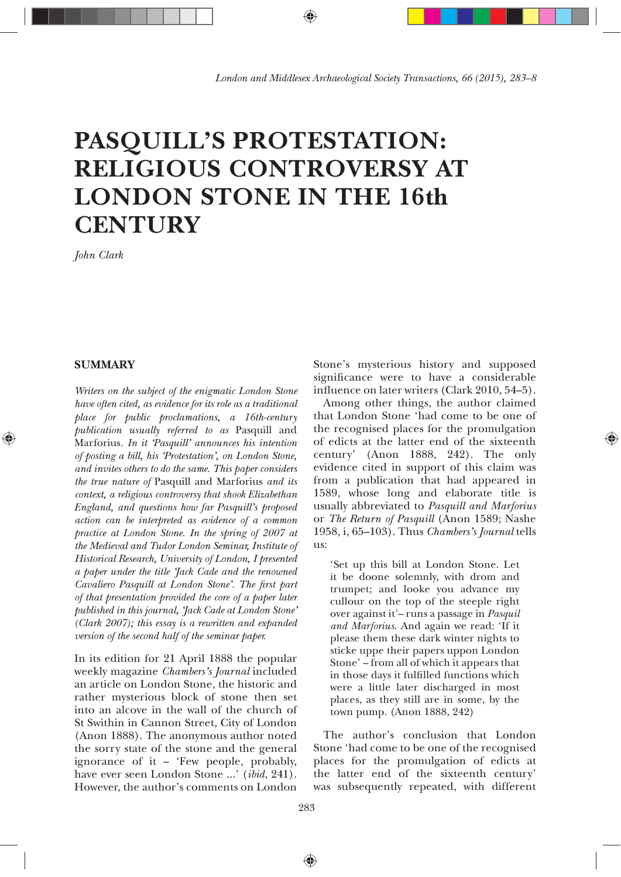# **PASQUILL'S PROTESTATION: RELIGIOUS CONTROVERSY AT LONDON STONE IN THE 16th CENTURY**

*John Clark*

# **SUMMARY**

◈

*Writers on the subject of the enigmatic London Stone have often cited, as evidence for its role as a traditional place for public proclamations, a 16th-century publication usually referred to as* Pasquill and Marforius*. In it 'Pasquill' announces his intention of posting a bill, his 'Protestation', on London Stone, and invites others to do the same. This paper considers the true nature of* Pasquill and Marforius *and its context, a religious controversy that shook Elizabethan England, and questions how far Pasquill's proposed action can be interpreted as evidence of a common practice at London Stone. In the spring of 2007 at the Medieval and Tudor London Seminar, Institute of Historical Research, University of London, I presented a paper under the title 'Jack Cade and the renowned Cavaliero Pasquill at London Stone'. The þrst part of that presentation provided the core of a paper later published in this journal, 'Jack Cade at London Stone' (Clark 2007); this essay is a rewritten and expanded version of the second half of the seminar paper.*

In its edition for 21 April 1888 the popular weekly magazine *Chambers's Journal* included an article on London Stone, the historic and rather mysterious block of stone then set into an alcove in the wall of the church of St Swithin in Cannon Street, City of London (Anon 1888). The anonymous author noted the sorry state of the stone and the general ignorance of it — 'Few people, probably, have ever seen London Stone ...' (*ibid*, 241). However, the author's comments on London

283

♠

Stone's mysterious history and supposed significance were to have a considerable influence on later writers (Clark 2010, 54-5).

Among other things, the author claimed that London Stone 'had come to be one of the recognised places for the promulgation of edicts at the latter end of the sixteenth century' (Anon 1888, 242). The only evidence cited in support of this claim was from a publication that had appeared in 1589, whose long and elaborate title is usually abbreviated to *Pasquill and Marforius* or *The Return of Pasquill* (Anon 1589; Nashe 1958, i, 65-103). Thus Chambers's Journal tells us:

⊕

'Set up this bill at London Stone. Let it be doone solemnly, with drom and trumpet; and looke you advance my cullour on the top of the steeple right over against it'— runs a passage in *Pasquil and Marforius*. And again we read: 'If it please them these dark winter nights to sticke uppe their papers uppon London Stone' — from all of which it appears that in those days it fulfilled functions which were a little later discharged in most places, as they still are in some, by the town pump. (Anon 1888, 242)

The author's conclusion that London Stone 'had come to be one of the recognised places for the promulgation of edicts at the latter end of the sixteenth century' was subsequently repeated, with different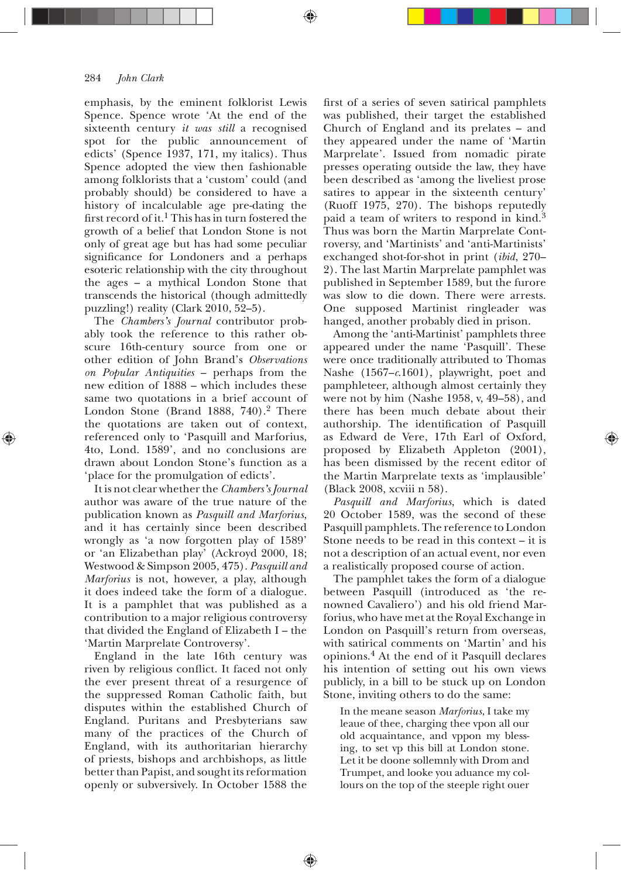#### 284 *John Clark*

emphasis, by the eminent folklorist Lewis Spence. Spence wrote 'At the end of the sixteenth century *it was still* a recognised spot for the public announcement of edicts' (Spence 1937, 171, my italics). Thus Spence adopted the view then fashionable among folklorists that a 'custom' could (and probably should) be considered to have a history of incalculable age pre-dating the first record of it.<sup>1</sup> This has in turn fostered the growth of a belief that London Stone is not only of great age but has had some peculiar significance for Londoners and a perhaps esoteric relationship with the city throughout the ages — a mythical London Stone that transcends the historical (though admittedly puzzling!) reality (Clark  $2010, 52-5$ ).

The *Chambers's Journal* contributor probably took the reference to this rather obscure 16th-century source from one or other edition of John Brand's *Observations on Popular Antiquities* — perhaps from the new edition of 1888 — which includes these same two quotations in a brief account of London Stone (Brand 1888,  $740$ ).<sup>2</sup> There the quotations are taken out of context, referenced only to 'Pasquill and Marforius, 4to, Lond. 1589', and no conclusions are drawn about London Stone's function as a 'place for the promulgation of edicts'.

It is not clear whether the *Chambers's Journal* author was aware of the true nature of the publication known as *Pasquill and Marforius*, and it has certainly since been described wrongly as 'a now forgotten play of 1589' or 'an Elizabethan play' (Ackroyd 2000, 18; Westwood & Simpson 2005, 475). Pasquill and *Marforius* is not, however, a play, although it does indeed take the form of a dialogue. It is a pamphlet that was published as a contribution to a major religious controversy that divided the England of Elizabeth I — the 'Martin Marprelate Controversy'.

England in the late 16th century was riven by religious conflict. It faced not only the ever present threat of a resurgence of the suppressed Roman Catholic faith, but disputes within the established Church of England. Puritans and Presbyterians saw many of the practices of the Church of England, with its authoritarian hierarchy of priests, bishops and archbishops, as little better than Papist, and sought its reformation openly or subversively. In October 1588 the

♠

first of a series of seven satirical pamphlets was published, their target the established Church of England and its prelates — and they appeared under the name of 'Martin Marprelate'. Issued from nomadic pirate presses operating outside the law, they have been described as 'among the liveliest prose satires to appear in the sixteenth century' (Ruoff 1975, 270). The bishops reputedly paid a team of writers to respond in kind.<sup>3</sup> Thus was born the Martin Marprelate Controversy, and 'Martinists' and 'anti-Martinists' exchanged shot-for-shot in print (*ibid*, 270-2). The last Martin Marprelate pamphlet was published in September 1589, but the furore was slow to die down. There were arrests. One supposed Martinist ringleader was hanged, another probably died in prison.

Among the 'anti-Martinist' pamphlets three appeared under the name 'Pasquill'. These were once traditionally attributed to Thomas Nashe (1567–c.1601), playwright, poet and pamphleteer, although almost certainly they were not by him (Nashe 1958, v,  $49-58$ ), and there has been much debate about their authorship. The identification of Pasquill as Edward de Vere, 17th Earl of Oxford, proposed by Elizabeth Appleton  $(2001)$ , has been dismissed by the recent editor of the Martin Marprelate texts as 'implausible' (Black 2008, xcviii n 58).

*Pasquill and Marforius*, which is dated 20 October 1589, was the second of these Pasquill pamphlets. The reference to London Stone needs to be read in this context — it is not a description of an actual event, nor even a realistically proposed course of action.

The pamphlet takes the form of a dialogue between Pasquill (introduced as 'the renowned Cavaliero') and his old friend Marforius, who have met at the Royal Exchange in London on Pasquill's return from overseas, with satirical comments on 'Martin' and his opinions.4 At the end of it Pasquill declares his intention of setting out his own views publicly, in a bill to be stuck up on London Stone, inviting others to do the same:

In the meane season *Marforius*, I take my leaue of thee, charging thee vpon all our old acquaintance, and vppon my blessing, to set vp this bill at London stone. Let it be doone sollemnly with Drom and Trumpet, and looke you aduance my collours on the top of the steeple right ouer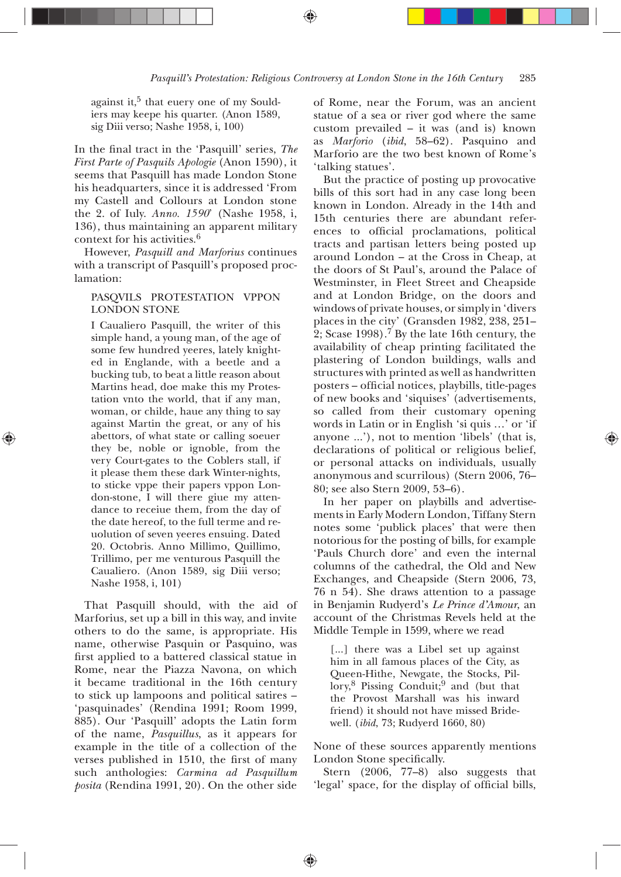against it.<sup>5</sup> that euery one of my Souldiers may keepe his quarter. (Anon 1589, sig Diii verso; Nashe 1958, i, 100)

In the final tract in the 'Pasquill' series, The *First Parte of Pasquils Apologie* (Anon 1590), it seems that Pasquill has made London Stone his headquarters, since it is addressed 'From my Castell and Collours at London stone the 2. of Iuly. *Anno.* 1590<sup>'</sup> (Nashe 1958, i, 136), thus maintaining an apparent military context for his activities.

However, *Pasquill and Marforius* continues with a transcript of Pasquill's proposed proclamation:

# PASQVILS PROTESTATION VPPON **LONDON STONE**

I Caualiero Pasquill, the writer of this simple hand, a young man, of the age of some few hundred yeeres, lately knighted in Englande, with a beetle and a bucking tub, to beat a little reason about Martins head, doe make this my Protestation vnto the world, that if any man, woman, or childe, haue any thing to say against Martin the great, or any of his abettors, of what state or calling soeuer they be, noble or ignoble, from the very Court-gates to the Coblers stall, if it please them these dark Winter-nights, to sticke vppe their papers vppon London-stone, I will there giue my attendance to receiue them, from the day of the date hereof, to the full terme and reuolution of seven yeeres ensuing. Dated 20. Octobris. Anno Millimo, Quillimo, Trillimo, per me venturous Pasquill the Caualiero. (Anon 1589, sig Diii verso; Nashe 1958, i, 101)

That Pasquill should, with the aid of Marforius, set up a bill in this way, and invite others to do the same, is appropriate. His name, otherwise Pasquin or Pasquino, was first applied to a battered classical statue in Rome, near the Piazza Navona, on which it became traditional in the 16th century to stick up lampoons and political satires — 'pasquinades' (Rendina 1991; Room 1999, 885). Our 'Pasquill' adopts the Latin form of the name, *Pasquillus*, as it appears for example in the title of a collection of the verses published in 1510, the first of many such anthologies: *Carmina ad Pasquillum posita* (Rendina 1991, 20). On the other side

of Rome, near the Forum, was an ancient statue of a sea or river god where the same custom prevailed — it was (and is) known as *Marforio* (*ibid*, 58-62). Pasquino and Marforio are the two best known of Rome's 'talking statues'.

But the practice of posting up provocative bills of this sort had in any case long been known in London. Already in the 14th and 15th centuries there are abundant references to official proclamations, political tracts and partisan letters being posted up around London — at the Cross in Cheap, at the doors of St Paul's, around the Palace of Westminster, in Fleet Street and Cheapside and at London Bridge, on the doors and windows of private houses, or simply in 'divers places in the city' (Gransden 1982, 238, 251-2; Scase 1998).<sup>7</sup> By the late 16th century, the availability of cheap printing facilitated the plastering of London buildings, walls and structures with printed as well as handwritten posters - official notices, playbills, title-pages of new books and 'siquises' (advertisements, so called from their customary opening words in Latin or in English 'si quis …' or 'if anyone ...'), not to mention 'libels' (that is, declarations of political or religious belief, or personal attacks on individuals, usually anonymous and scurrilous) (Stern  $2006$ ,  $76-$ 80; see also Stern 2009, 53-6).

In her paper on playbills and advertisements in Early Modern London, Tiffany Stern notes some 'publick places' that were then notorious for the posting of bills, for example 'Pauls Church dore' and even the internal columns of the cathedral, the Old and New Exchanges, and Cheapside (Stern 2006, 73,  $76$  n 54). She draws attention to a passage in Benjamin Rudyerd's *Le Prince d'Amour*, an account of the Christmas Revels held at the Middle Temple in 1599, where we read

[...] there was a Libel set up against him in all famous places of the City, as Queen-Hithe, Newgate, the Stocks, Pil- $\text{lory}^8$  Pissing Conduit; and (but that the Provost Marshall was his inward friend) it should not have missed Bridewell. (*ibid*, 73; Rudyerd 1660, 80)

None of these sources apparently mentions London Stone specifically.

Stern  $(2006, 77-8)$  also suggests that 'legal' space, for the display of official bills,

♠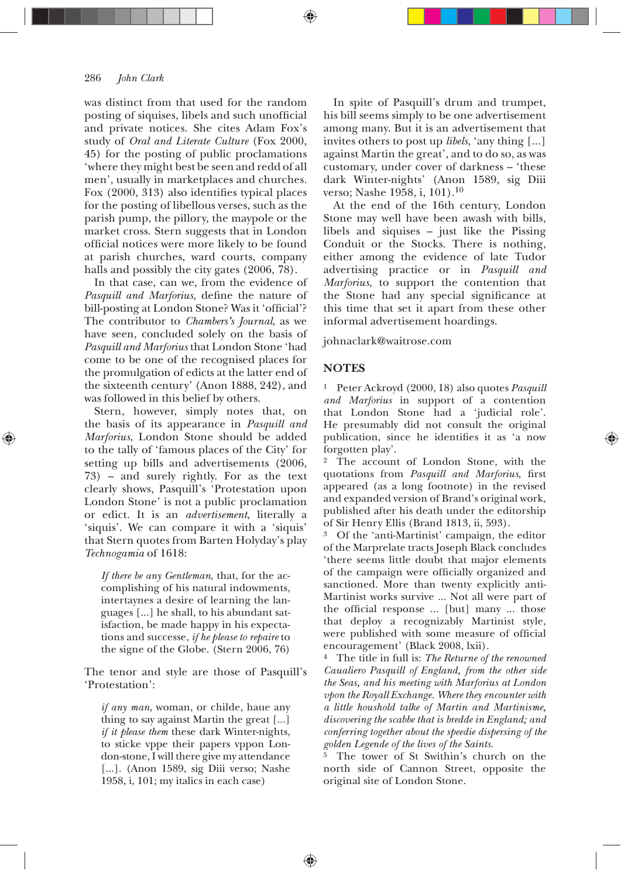#### *John Clark*

was distinct from that used for the random posting of siquises, libels and such unofficial and private notices. She cites Adam Fox's study of *Oral and Literate Culture* (Fox 2000, 45) for the posting of public proclamations 'where they might best be seen and redd of all men', usually in marketplaces and churches. Fox  $(2000, 313)$  also identifies typical places for the posting of libellous verses, such as the parish pump, the pillory, the maypole or the market cross. Stern suggests that in London official notices were more likely to be found at parish churches, ward courts, company halls and possibly the city gates  $(2006, 78)$ .

In that case, can we, from the evidence of Pasquill and Marforius, define the nature of bill-posting at London Stone? Was it 'official'? The contributor to *Chambers's Journal*, as we have seen, concluded solely on the basis of *Pasquill and Marforius* that London Stone 'had come to be one of the recognised places for the promulgation of edicts at the latter end of the sixteenth century' (Anon 1888, 242), and was followed in this belief by others.

Stern, however, simply notes that, on the basis of its appearance in *Pasquill and Marforius*, London Stone should be added to the tally of 'famous places of the City' for setting up bills and advertisements (2006,  $73$ ) – and surely rightly. For as the text clearly shows, Pasquill's 'Protestation upon London Stone' is not a public proclamation or edict. It is an *advertisement*, literally a 'siquis'. We can compare it with a 'siquis' that Stern quotes from Barten Holyday's play *Technogamia* of 1618:

*If there be any Gentleman*, that, for the accomplishing of his natural indowments, intertaynes a desire of learning the languages [...] he shall, to his abundant satisfaction, be made happy in his expectations and successe, *if he please to repaire* to the signe of the Globe. (Stern 2006, 76)

The tenor and style are those of Pasquill's 'Protestation':

*if any man*, woman, or childe, haue any thing to say against Martin the great [...] *if it please them* these dark Winter-nights, to sticke vppe their papers vppon London-stone, I will there give my attendance [...]. (Anon 1589, sig Diii verso; Nashe 1958, i, 101; my italics in each case)

In spite of Pasquill's drum and trumpet, his bill seems simply to be one advertisement among many. But it is an advertisement that invites others to post up *libels*, 'any thing [...] against Martin the great', and to do so, as was customary, under cover of darkness — 'these dark Winter-nights' (Anon 1589, sig Diii verso; Nashe 1958, i, 101).<sup>10</sup>

At the end of the 16th century, London Stone may well have been awash with bills, libels and siquises — just like the Pissing Conduit or the Stocks. There is nothing, either among the evidence of late Tudor advertising practice or in *Pasquill and Marforius*, to support the contention that the Stone had any special significance at this time that set it apart from these other informal advertisement hoardings.

#### johnaclark@waitrose.com

# **NOTES**

♠

<sup>1</sup> Peter Ackroyd (2000, 18) also quotes *Pasquill and Marforius* in support of a contention that London Stone had a 'judicial role'. He presumably did not consult the original publication, since he identifies it as 'a now forgotten play'.

2 The account of London Stone, with the quotations from *Pasquill and Marforius*, first appeared (as a long footnote) in the revised and expanded version of Brand's original work, published after his death under the editorship of Sir Henry Ellis (Brand 1813, ii, 593).

3 Of the 'anti-Martinist' campaign, the editor of the Marprelate tracts Joseph Black concludes 'there seems little doubt that major elements of the campaign were officially organized and sanctioned. More than twenty explicitly anti-Martinist works survive ... Not all were part of the official response ... [but] many ... those that deploy a recognizably Martinist style, were published with some measure of official encouragement' (Black 2008, lxii).

4 The title in full is: *The Returne of the renowned Caualiero Pasquill of England, from the other side the Seas, and his meeting with Marforius at London vpon the Royall Exchange. Where they encounter with a little houshold talke of Martin and Martinisme, discovering the scabbe that is bredde in England; and conferring together about the speedie dispersing of the golden Legende of the lives of the Saints*.

<sup>5</sup> The tower of St Swithin's church on the north side of Cannon Street, opposite the original site of London Stone.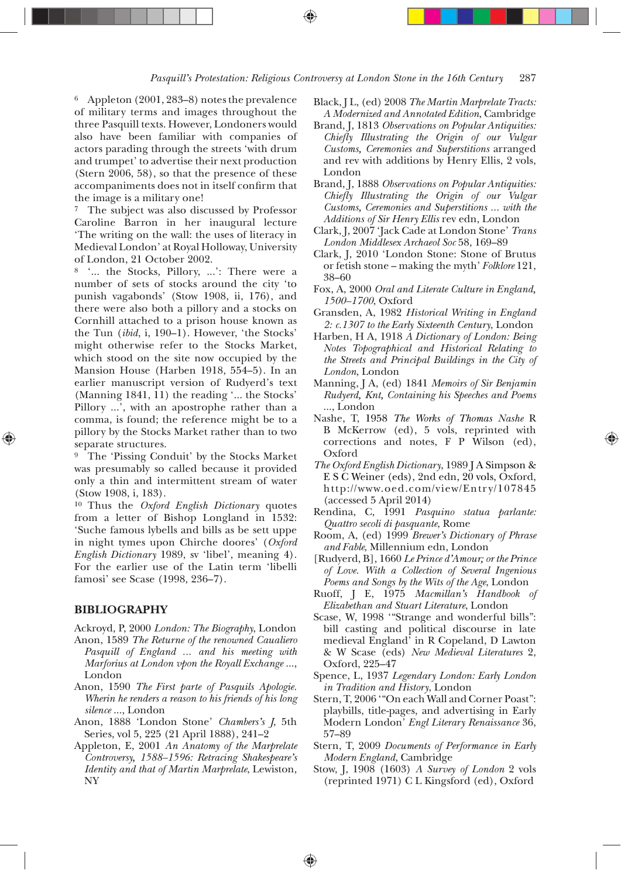$6$  Appleton (2001, 283-8) notes the prevalence of military terms and images throughout the three Pasquill texts. However, Londoners would also have been familiar with companies of actors parading through the streets 'with drum and trumpet' to advertise their next production (Stern  $2006$ , 58), so that the presence of these accompaniments does not in itself confirm that the image is a military one!

<sup>7</sup> The subject was also discussed by Professor Caroline Barron in her inaugural lecture 'The writing on the wall: the uses of literacy in Medieval London' at Royal Holloway, University of London, 21 October 2002.

8 '... the Stocks, Pillory, ...': There were a number of sets of stocks around the city 'to punish vagabonds' (Stow 1908, ii, 176), and there were also both a pillory and a stocks on Cornhill attached to a prison house known as the Tun (*ibid*, i, 190–1). However, 'the Stocks' might otherwise refer to the Stocks Market, which stood on the site now occupied by the Mansion House (Harben 1918, 554-5). In an earlier manuscript version of Rudyerd's text (Manning 1841, 11) the reading '... the Stocks' Pillory ...', with an apostrophe rather than a comma, is found; the reference might be to a pillory by the Stocks Market rather than to two separate structures.

<sup>9</sup> The 'Pissing Conduit' by the Stocks Market was presumably so called because it provided only a thin and intermittent stream of water  $(Stow 1908, i, 183).$ 

 Thus the *Oxford English Dictionary* quotes from a letter of Bishop Longland in 1532: 'Suche famous lybells and bills as be sett uppe in night tymes upon Chirche doores' (*Oxford English Dictionary* 1989, sv 'libel', meaning 4). For the earlier use of the Latin term 'libelli famosi' see Scase (1998, 236-7).

# **BIBLIOGRAPHY**

- Ackroyd, P, 2000 *London: The Biography*, London
- Anon, 1589 The Returne of the renowned Caualiero *Pasquill of England ... and his meeting with Marforius at London vpon the Royall Exchange* ..., London
- Anon, 1590 The First parte of Pasquils Apologie. *Wherin he renders a reason to his friends of his long silence* ..., London
- Anon, 1888 'London Stone' *Chambers's J*, 5th Series, vol 5, 225 (21 April 1888), 241-2
- Appleton, E, 2001 An Anatomy of the Marprelate *Controversy, 1588—1596: Retracing Shakespeare's Identity and that of Martin Marprelate*, Lewiston, NY<sub>1</sub>
- Black, *IL.* (ed) 2008 The Martin Marbrelate Tracts: *A Modernized and Annotated Edition*, Cambridge
- Brand, J, 1813 *Observations on Popular Antiquities: Chiefly Illustrating the Origin of our Vulgar Customs, Ceremonies and Superstitions* arranged and rev with additions by Henry Ellis, 2 vols, London
- Brand, J, 1888 *Observations on Popular Antiquities: Chiefly Illustrating the Origin of our Vulgar Customs, Ceremonies and Superstitions ... with the Additions of Sir Henry Ellis* rev edn, London
- Clark, J, 2007 'Jack Cade at London Stone' Trans London Middlesex Archaeol Soc 58, 169-89
- Clark, J, 2010 'London Stone: Stone of Brutus or fetish stone — making the myth' *Folklore* 121, 38-60
- Fox, A, 2000 Oral and Literate Culture in England, *1500—1700*, Oxford
- Gransden, A, 1982 Historical Writing in England *2: c.1307 to the Early Sixteenth Century*, London
- Harben, H A, 1918 A Dictionary of London: Being *Notes Topographical and Historical Relating to the Streets and Principal Buildings in the City of London*, London
- Manning, J A, (ed) 1841 *Memoirs of Sir Benjamin Rudyerd, Knt, Containing his Speeches and Poems* ..., London
- Nashe, T, 1958 The Works of Thomas Nashe R B McKerrow (ed), 5 vols, reprinted with corrections and notes, F P Wilson (ed), Oxford

↔

- *The Oxford English Dictionary*, 1989 J A Simpson & E S C Weiner (eds), 2nd edn, 20 vols, Oxford, http://www.oed.com/view/Entry/107845 (accessed 5 April 2014)
- Rendina, C, 1991 Pasquino statua parlante: *Quattro secoli di pasquante*, Rome
- Room, A, (ed) 1999 Brewer's Dictionary of Phrase *and Fable*, Millennium edn, London
- [Rudyerd, B], 1660 Le Prince d'Amour; or the Prince *of Love. With a Collection of Several Ingenious Poems and Songs by the Wits of the Age*, London
- Ruoff, J E, 1975 Macmillan's Handbook of *Elizabethan and Stuart Literature*, London
- Scase, W, 1998 "Strange and wonderful bills": bill casting and political discourse in late medieval England' in R Copeland, D Lawton & W Scase (eds) *New Medieval Literatures* 2, Oxford, 225-47
- Spence, L, 1937 Legendary London: Early London *in Tradition and History*, London
- Stern, T, 2006 "On each Wall and Corner Poast": playbills, title-pages, and advertising in Early Modern London' *Engl Literary Renaissance* 57-89
- Stern, T, 2009 *Documents of Performance in Early Modern England*, Cambridge
- Stow, J. 1908 (1603) A Survey of London 2 vols (reprinted 1971) C L Kingsford (ed), Oxford

♠